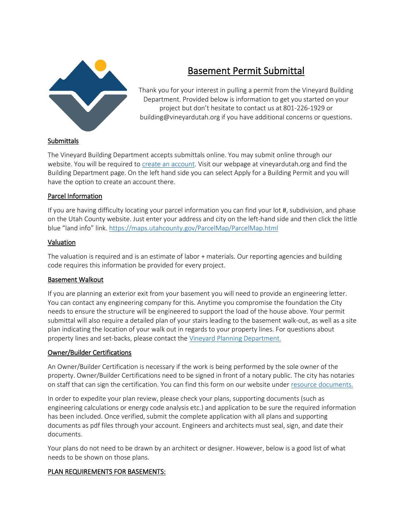

# Basement Permit Submittal

Thank you for your interest in pulling a permit from the Vineyard Building Department. Provided below is information to get you started on your project but don't hesitate to contact us at 801-226-1929 or building@vineyardutah.org if you have additional concerns or questions.

# **Submittals**

The Vineyard Building Department accepts submittals online. You may submit online through our website. You will be required to [create an account.](https://vineyard.cityinspect.com/register?registration_id=15989d4f23a6be) Visit our webpage at vineyardutah.org and find the Building Department page. On the left hand side you can select Apply for a Building Permit and you will have the option to create an account there.

## Parcel Information

If you are having difficulty locating your parcel information you can find your lot #, subdivision, and phase on the Utah County website. Just enter your address and city on the left-hand side and then click the little blue "land info" link. <https://maps.utahcounty.gov/ParcelMap/ParcelMap.html>

## Valuation

The valuation is required and is an estimate of labor + materials. Our reporting agencies and building code requires this information be provided for every project.

#### Basement Walkout

If you are planning an exterior exit from your basement you will need to provide an engineering letter. You can contact any engineering company for this. Anytime you compromise the foundation the City needs to ensure the structure will be engineered to support the load of the house above. Your permit submittal will also require a detailed plan of your stairs leading to the basement walk-out, as well as a site plan indicating the location of your walk out in regards to your property lines. For questions about property lines and set-backs, please contact the [Vineyard Planning Department.](http://vineyard.utah.gov/214/Planning-Zoning)

#### Owner/Builder Certifications

An Owner/Builder Certification is necessary if the work is being performed by the sole owner of the property. Owner/Builder Certifications need to be signed in front of a notary public. The city has notaries on staff that can sign the certification. You can find this form on our website under [resource documents.](http://vineyard.utah.gov/346/Resource-Documents)

In order to expedite your plan review, please check your plans, supporting documents (such as engineering calculations or energy code analysis etc.) and application to be sure the required information has been included. Once verified, submit the complete application with all plans and supporting documents as pdf files through your account. Engineers and architects must seal, sign, and date their documents.

Your plans do not need to be drawn by an architect or designer. However, below is a good list of what needs to be shown on those plans.

# PLAN REQUIREMENTS FOR BASEMENTS: